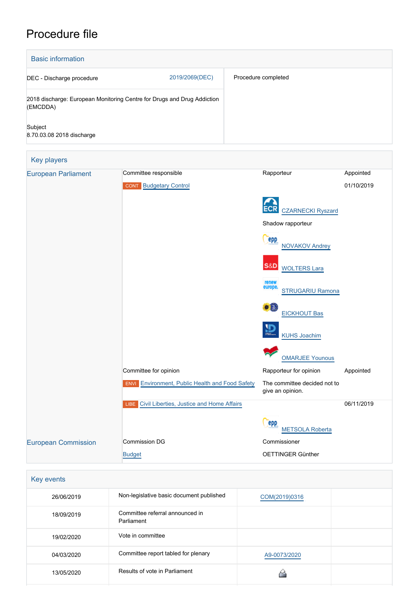# Procedure file

| <b>Basic information</b>             |                                                                         |                        |                                                  |            |  |
|--------------------------------------|-------------------------------------------------------------------------|------------------------|--------------------------------------------------|------------|--|
| DEC - Discharge procedure            | 2019/2069(DEC)                                                          |                        | Procedure completed                              |            |  |
| (EMCDDA)                             | 2018 discharge: European Monitoring Centre for Drugs and Drug Addiction |                        |                                                  |            |  |
| Subject<br>8.70.03.08 2018 discharge |                                                                         |                        |                                                  |            |  |
| <b>Key players</b>                   |                                                                         |                        |                                                  |            |  |
| <b>European Parliament</b>           | Committee responsible                                                   |                        | Rapporteur                                       | Appointed  |  |
|                                      | <b>CONT</b> Budgetary Control                                           |                        |                                                  | 01/10/2019 |  |
|                                      |                                                                         |                        |                                                  |            |  |
|                                      |                                                                         |                        | <b>CZARNECKI Ryszard</b>                         |            |  |
|                                      |                                                                         |                        | Shadow rapporteur                                |            |  |
|                                      |                                                                         |                        | epp<br><b>NOVAKOV Andrey</b>                     |            |  |
|                                      |                                                                         |                        | S&D<br><b>WOLTERS Lara</b>                       |            |  |
|                                      |                                                                         |                        | renew<br>europe.<br>STRUGARIU Ramona             |            |  |
|                                      |                                                                         |                        |                                                  |            |  |
|                                      |                                                                         |                        | EICKHOUT Bas                                     |            |  |
|                                      |                                                                         |                        | <b>KUHS Joachim</b>                              |            |  |
|                                      |                                                                         |                        | <b>OMARJEE Younous</b>                           |            |  |
|                                      | Committee for opinion                                                   | Rapporteur for opinion | Appointed                                        |            |  |
|                                      | Environment, Public Health and Food Safety<br><b>ENVI</b>               |                        | The committee decided not to<br>give an opinion. |            |  |
|                                      | Civil Liberties, Justice and Home Affairs<br>LIBE                       |                        | 06/11/2019                                       |            |  |
|                                      |                                                                         |                        | epp<br><b>METSOLA Roberta</b>                    |            |  |
| <b>European Commission</b>           | <b>Commission DG</b>                                                    |                        | Commissioner                                     |            |  |
| <b>Budget</b>                        |                                                                         | OETTINGER Günther      |                                                  |            |  |
|                                      |                                                                         |                        |                                                  |            |  |
| Key events                           |                                                                         |                        |                                                  |            |  |
| 26/06/2019                           | Non-legislative basic document published                                |                        | COM(2019)0316                                    |            |  |
|                                      | $144 - 1$                                                               |                        |                                                  |            |  |

| 18/09/2019 | Committee referral announced in<br>Parliament |              |  |
|------------|-----------------------------------------------|--------------|--|
| 19/02/2020 | Vote in committee                             |              |  |
| 04/03/2020 | Committee report tabled for plenary           | A9-0073/2020 |  |
| 13/05/2020 | Results of vote in Parliament                 |              |  |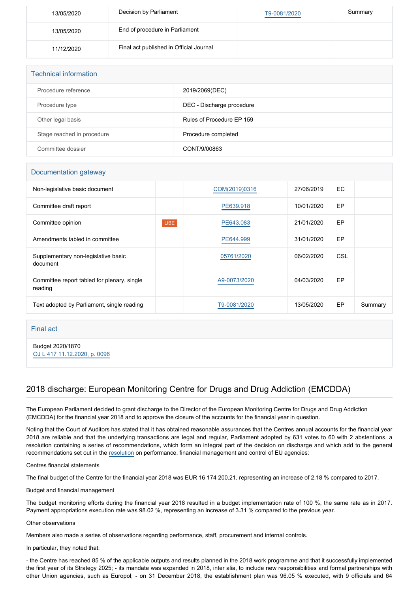| 13/05/2020 | Decision by Parliament                  | T9-0081/2020 | Summary |
|------------|-----------------------------------------|--------------|---------|
| 13/05/2020 | End of procedure in Parliament          |              |         |
| 11/12/2020 | Final act published in Official Journal |              |         |

| <b>Technical information</b> |                           |
|------------------------------|---------------------------|
| Procedure reference          | 2019/2069(DEC)            |
| Procedure type               | DEC - Discharge procedure |
| Other legal basis            | Rules of Procedure EP 159 |
| Stage reached in procedure   | Procedure completed       |
| Committee dossier            | CONT/9/00863              |

#### Documentation gateway

| Non-legislative basic document                         |             | COM(2019)0316 | 27/06/2019 | EC. |         |
|--------------------------------------------------------|-------------|---------------|------------|-----|---------|
| Committee draft report                                 |             | PE639.918     | 10/01/2020 | EP  |         |
| Committee opinion                                      | <b>LIBE</b> | PE643.083     | 21/01/2020 | EP  |         |
| Amendments tabled in committee                         |             | PE644.999     | 31/01/2020 | EP  |         |
| Supplementary non-legislative basic<br>document        |             | 05761/2020    | 06/02/2020 | CSL |         |
| Committee report tabled for plenary, single<br>reading |             | A9-0073/2020  | 04/03/2020 | EP  |         |
| Text adopted by Parliament, single reading             |             | T9-0081/2020  | 13/05/2020 | EP  | Summary |

### Final act

Budget 2020/1870 [OJ L 417 11.12.2020, p. 0096](https://eur-lex.europa.eu/legal-content/EN/TXT/?uri=OJ:L:2020:417:TOC)

## 2018 discharge: European Monitoring Centre for Drugs and Drug Addiction (EMCDDA)

The European Parliament decided to grant discharge to the Director of the European Monitoring Centre for Drugs and Drug Addiction (EMCDDA) for the financial year 2018 and to approve the closure of the accounts for the financial year in question.

Noting that the Court of Auditors has stated that it has obtained reasonable assurances that the Centres annual accounts for the financial year 2018 are reliable and that the underlying transactions are legal and regular, Parliament adopted by 631 votes to 60 with 2 abstentions, a resolution containing a series of recommendations, which form an integral part of the decision on discharge and which add to the general recommendations set out in the [resolution](https://oeil.secure.europarl.europa.eu/oeil/popups/ficheprocedure.do?lang=en&reference=2019/2098(DEC)) on performance, financial management and control of EU agencies:

Centres financial statements

The final budget of the Centre for the financial year 2018 was EUR 16 174 200.21, representing an increase of 2.18 % compared to 2017.

Budget and financial management

The budget monitoring efforts during the financial year 2018 resulted in a budget implementation rate of 100 %, the same rate as in 2017. Payment appropriations execution rate was 98.02 %, representing an increase of 3.31 % compared to the previous year.

#### Other observations

Members also made a series of observations regarding performance, staff, procurement and internal controls.

In particular, they noted that:

- the Centre has reached 85 % of the applicable outputs and results planned in the 2018 work programme and that it successfully implemented the first year of its Strategy 2025; - its mandate was expanded in 2018, inter alia, to include new responsibilities and formal partnerships with other Union agencies, such as Europol; - on 31 December 2018, the establishment plan was 96.05 % executed, with 9 officials and 64